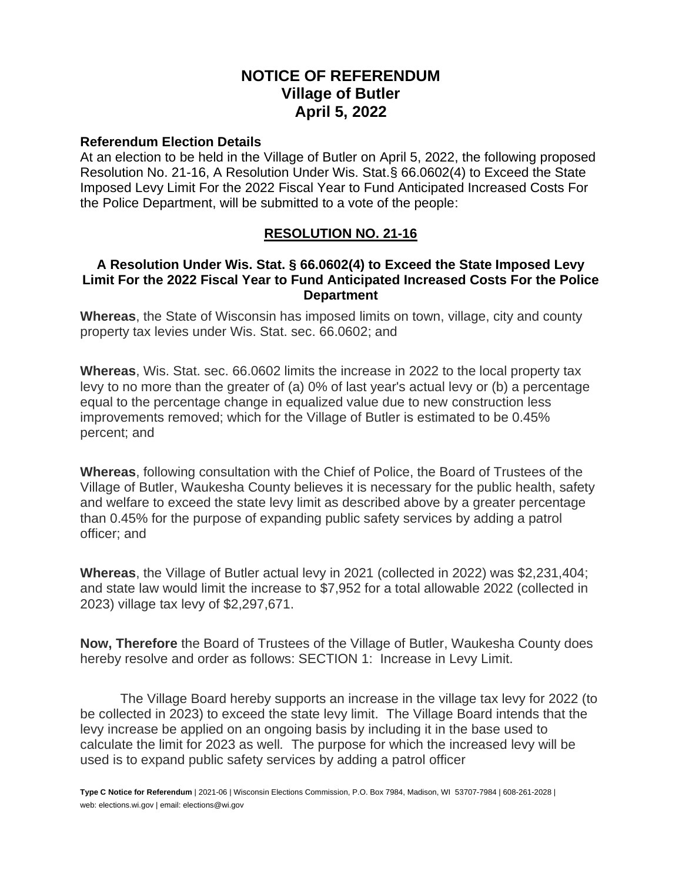# **NOTICE OF REFERENDUM Village of Butler April 5, 2022**

#### **Referendum Election Details**

At an election to be held in the Village of Butler on April 5, 2022, the following proposed Resolution No. 21-16, A Resolution Under Wis. Stat.§ 66.0602(4) to Exceed the State Imposed Levy Limit For the 2022 Fiscal Year to Fund Anticipated Increased Costs For the Police Department, will be submitted to a vote of the people:

## **RESOLUTION NO. 21-16**

### **A Resolution Under Wis. Stat. § 66.0602(4) to Exceed the State Imposed Levy Limit For the 2022 Fiscal Year to Fund Anticipated Increased Costs For the Police Department**

**Whereas**, the State of Wisconsin has imposed limits on town, village, city and county property tax levies under Wis. Stat. sec. 66.0602; and

**Whereas**, Wis. Stat. sec. 66.0602 limits the increase in 2022 to the local property tax levy to no more than the greater of (a) 0% of last year's actual levy or (b) a percentage equal to the percentage change in equalized value due to new construction less improvements removed; which for the Village of Butler is estimated to be 0.45% percent; and

**Whereas**, following consultation with the Chief of Police, the Board of Trustees of the Village of Butler, Waukesha County believes it is necessary for the public health, safety and welfare to exceed the state levy limit as described above by a greater percentage than 0.45% for the purpose of expanding public safety services by adding a patrol officer; and

**Whereas**, the Village of Butler actual levy in 2021 (collected in 2022) was \$2,231,404; and state law would limit the increase to \$7,952 for a total allowable 2022 (collected in 2023) village tax levy of \$2,297,671.

**Now, Therefore** the Board of Trustees of the Village of Butler, Waukesha County does hereby resolve and order as follows: SECTION 1: Increase in Levy Limit.

The Village Board hereby supports an increase in the village tax levy for 2022 (to be collected in 2023) to exceed the state levy limit. The Village Board intends that the levy increase be applied on an ongoing basis by including it in the base used to calculate the limit for 2023 as well*.* The purpose for which the increased levy will be used is to expand public safety services by adding a patrol officer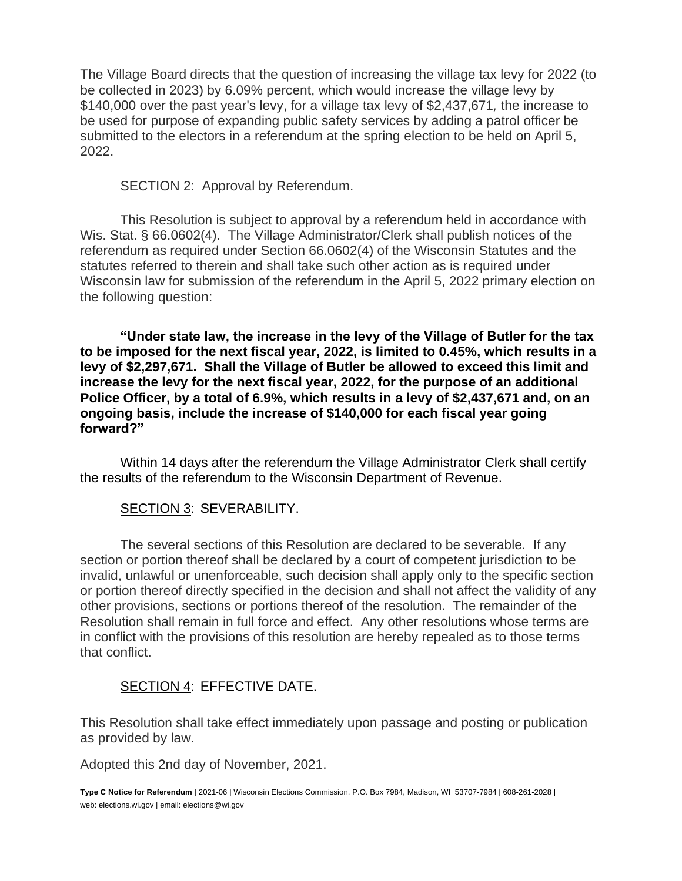The Village Board directs that the question of increasing the village tax levy for 2022 (to be collected in 2023) by 6.09% percent, which would increase the village levy by \$140,000 over the past year's levy, for a village tax levy of \$2,437,671*,* the increase to be used for purpose of expanding public safety services by adding a patrol officer be submitted to the electors in a referendum at the spring election to be held on April 5, 2022.

SECTION 2: Approval by Referendum.

This Resolution is subject to approval by a referendum held in accordance with Wis. Stat. § 66.0602(4). The Village Administrator/Clerk shall publish notices of the referendum as required under Section 66.0602(4) of the Wisconsin Statutes and the statutes referred to therein and shall take such other action as is required under Wisconsin law for submission of the referendum in the April 5, 2022 primary election on the following question:

**"Under state law, the increase in the levy of the Village of Butler for the tax to be imposed for the next fiscal year, 2022, is limited to 0.45%, which results in a levy of \$2,297,671. Shall the Village of Butler be allowed to exceed this limit and increase the levy for the next fiscal year, 2022, for the purpose of an additional Police Officer, by a total of 6.9%, which results in a levy of \$2,437,671 and, on an ongoing basis, include the increase of \$140,000 for each fiscal year going forward?"**

Within 14 days after the referendum the Village Administrator Clerk shall certify the results of the referendum to the Wisconsin Department of Revenue.

## SECTION 3: SEVERABILITY.

The several sections of this Resolution are declared to be severable. If any section or portion thereof shall be declared by a court of competent jurisdiction to be invalid, unlawful or unenforceable, such decision shall apply only to the specific section or portion thereof directly specified in the decision and shall not affect the validity of any other provisions, sections or portions thereof of the resolution. The remainder of the Resolution shall remain in full force and effect. Any other resolutions whose terms are in conflict with the provisions of this resolution are hereby repealed as to those terms that conflict.

## SECTION 4: EFFECTIVE DATE.

This Resolution shall take effect immediately upon passage and posting or publication as provided by law.

Adopted this 2nd day of November, 2021.

**Type C Notice for Referendum** | 2021-06 | Wisconsin Elections Commission, P.O. Box 7984, Madison, WI 53707-7984 | 608-261-2028 | web: elections.wi.gov | email: elections@wi.gov